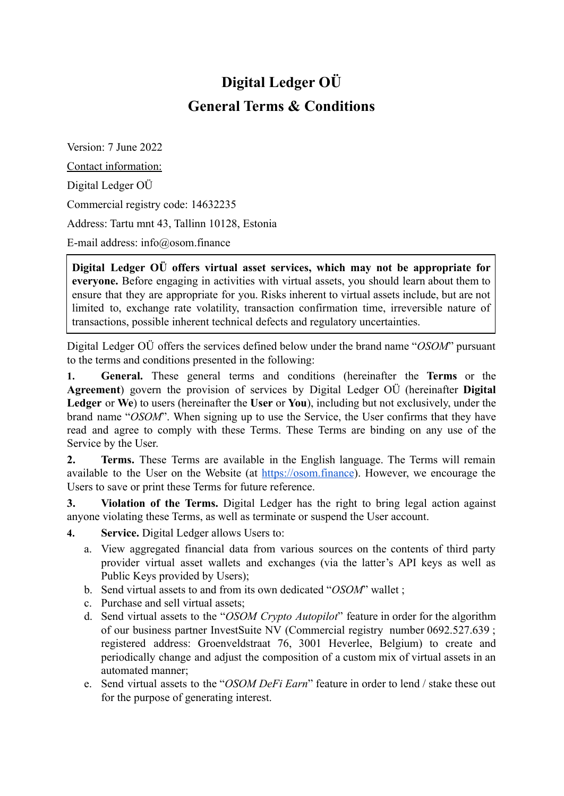## **Digital Ledger OÜ General Terms & Conditions**

Version: 7 June 2022 Contact information: Digital Ledger OÜ Commercial registry code: 14632235 Address: Tartu mnt 43, Tallinn 10128, Estonia E-mail address: info@osom.finance

**Digital Ledger OÜ offers virtual asset services, which may not be appropriate for everyone.** Before engaging in activities with virtual assets, you should learn about them to ensure that they are appropriate for you. Risks inherent to virtual assets include, but are not limited to, exchange rate volatility, transaction confirmation time, irreversible nature of transactions, possible inherent technical defects and regulatory uncertainties.

Digital Ledger OÜ offers the services defined below under the brand name "*OSOM*" pursuant to the terms and conditions presented in the following:

**1. General.** These general terms and conditions (hereinafter the **Terms** or the **Agreement**) govern the provision of services by Digital Ledger OÜ (hereinafter **Digital Ledger** or **We**) to users (hereinafter the **User** or **You**), including but not exclusively, under the brand name "*OSOM*". When signing up to use the Service, the User confirms that they have read and agree to comply with these Terms. These Terms are binding on any use of the Service by the User.

**2. Terms.** These Terms are available in the English language. The Terms will remain available to the User on the Website (at <https://osom.finance>). However, we encourage the Users to save or print these Terms for future reference.

**3. Violation of the Terms.** Digital Ledger has the right to bring legal action against anyone violating these Terms, as well as terminate or suspend the User account.

- **4. Service.** Digital Ledger allows Users to:
	- a. View aggregated financial data from various sources on the contents of third party provider virtual asset wallets and exchanges (via the latter's API keys as well as Public Keys provided by Users);
	- b. Send virtual assets to and from its own dedicated "*OSOM*" wallet ;
	- c. Purchase and sell virtual assets;
	- d. Send virtual assets to the "*OSOM Crypto Autopilot*" feature in order for the algorithm of our business partner InvestSuite NV (Commercial registry number 0692.527.639 ; registered address: Groenveldstraat 76, 3001 Heverlee, Belgium) to create and periodically change and adjust the composition of a custom mix of virtual assets in an automated manner;
	- e. Send virtual assets to the "*OSOM DeFi Earn*" feature in order to lend / stake these out for the purpose of generating interest.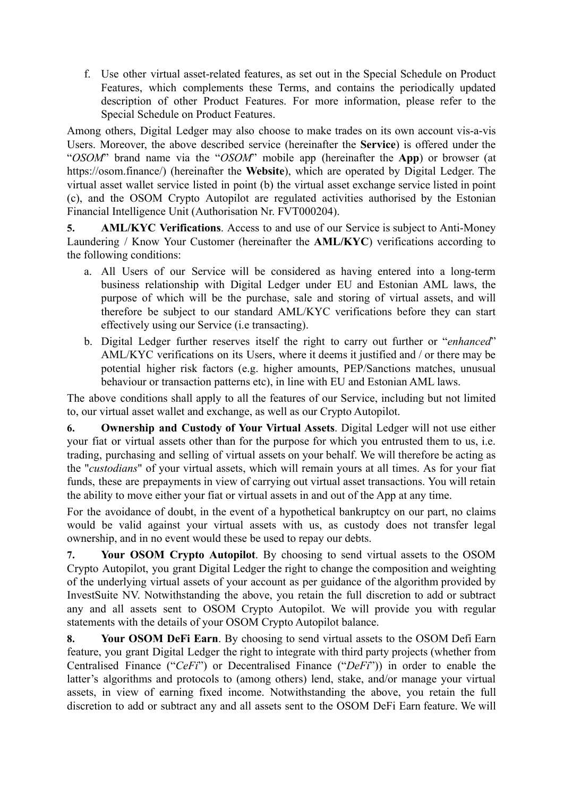f. Use other virtual asset-related features, as set out in the Special Schedule on Product Features, which complements these Terms, and contains the periodically updated description of other Product Features. For more information, please refer to the Special Schedule on Product Features.

Among others, Digital Ledger may also choose to make trades on its own account vis-a-vis Users. Moreover, the above described service (hereinafter the **Service**) is offered under the "*OSOM*" brand name via the "*OSOM*" mobile app (hereinafter the **App**) or browser (at https://osom.finance/) (hereinafter the **Website**), which are operated by Digital Ledger. The virtual asset wallet service listed in point (b) the virtual asset exchange service listed in point (c), and the OSOM Crypto Autopilot are regulated activities authorised by the Estonian Financial Intelligence Unit (Authorisation Nr. FVT000204).

**5. AML/KYC Verifications**. Access to and use of our Service is subject to Anti-Money Laundering / Know Your Customer (hereinafter the **AML/KYC**) verifications according to the following conditions:

- a. All Users of our Service will be considered as having entered into a long-term business relationship with Digital Ledger under EU and Estonian AML laws, the purpose of which will be the purchase, sale and storing of virtual assets, and will therefore be subject to our standard AML/KYC verifications before they can start effectively using our Service (i.e transacting).
- b. Digital Ledger further reserves itself the right to carry out further or "*enhanced*" AML/KYC verifications on its Users, where it deems it justified and / or there may be potential higher risk factors (e.g. higher amounts, PEP/Sanctions matches, unusual behaviour or transaction patterns etc), in line with EU and Estonian AML laws.

The above conditions shall apply to all the features of our Service, including but not limited to, our virtual asset wallet and exchange, as well as our Crypto Autopilot.

**6. Ownership and Custody of Your Virtual Assets**. Digital Ledger will not use either your fiat or virtual assets other than for the purpose for which you entrusted them to us, i.e. trading, purchasing and selling of virtual assets on your behalf. We will therefore be acting as the "*custodians*" of your virtual assets, which will remain yours at all times. As for your fiat funds, these are prepayments in view of carrying out virtual asset transactions. You will retain the ability to move either your fiat or virtual assets in and out of the App at any time.

For the avoidance of doubt, in the event of a hypothetical bankruptcy on our part, no claims would be valid against your virtual assets with us, as custody does not transfer legal ownership, and in no event would these be used to repay our debts.

**7. Your OSOM Crypto Autopilot**. By choosing to send virtual assets to the OSOM Crypto Autopilot, you grant Digital Ledger the right to change the composition and weighting of the underlying virtual assets of your account as per guidance of the algorithm provided by InvestSuite NV. Notwithstanding the above, you retain the full discretion to add or subtract any and all assets sent to OSOM Crypto Autopilot. We will provide you with regular statements with the details of your OSOM Crypto Autopilot balance.

**8. Your OSOM DeFi Earn**. By choosing to send virtual assets to the OSOM Defi Earn feature, you grant Digital Ledger the right to integrate with third party projects (whether from Centralised Finance ("*CeFi*") or Decentralised Finance ("*DeFi*")) in order to enable the latter's algorithms and protocols to (among others) lend, stake, and/or manage your virtual assets, in view of earning fixed income. Notwithstanding the above, you retain the full discretion to add or subtract any and all assets sent to the OSOM DeFi Earn feature. We will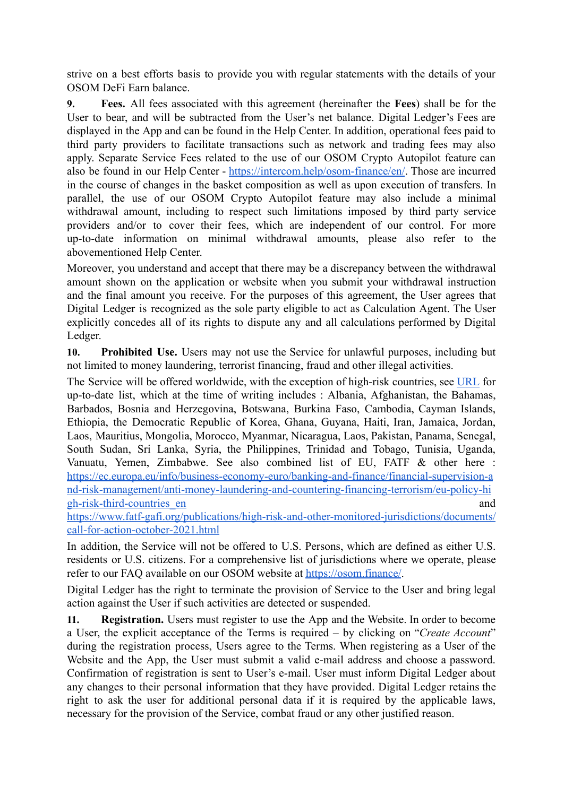strive on a best efforts basis to provide you with regular statements with the details of your OSOM DeFi Earn balance.

**9. Fees.** All fees associated with this agreement (hereinafter the **Fees**) shall be for the User to bear, and will be subtracted from the User's net balance. Digital Ledger's Fees are displayed in the App and can be found in the Help Center. In addition, operational fees paid to third party providers to facilitate transactions such as network and trading fees may also apply. Separate Service Fees related to the use of our OSOM Crypto Autopilot feature can also be found in our Help Center - <https://intercom.help/osom-finance/en/>. Those are incurred in the course of changes in the basket composition as well as upon execution of transfers. In parallel, the use of our OSOM Crypto Autopilot feature may also include a minimal withdrawal amount, including to respect such limitations imposed by third party service providers and/or to cover their fees, which are independent of our control. For more up-to-date information on minimal withdrawal amounts, please also refer to the abovementioned Help Center.

Moreover, you understand and accept that there may be a discrepancy between the withdrawal amount shown on the application or website when you submit your withdrawal instruction and the final amount you receive. For the purposes of this agreement, the User agrees that Digital Ledger is recognized as the sole party eligible to act as Calculation Agent. The User explicitly concedes all of its rights to dispute any and all calculations performed by Digital Ledger.

**10. Prohibited Use.** Users may not use the Service for unlawful purposes, including but not limited to money laundering, terrorist financing, fraud and other illegal activities.

The Service will be offered worldwide, with the exception of high-risk countries, see [URL](https://finance.belgium.be/en/high-risk-countries) for up-to-date list, which at the time of writing includes : Albania, Afghanistan, the Bahamas, Barbados, Bosnia and Herzegovina, Botswana, Burkina Faso, Cambodia, Cayman Islands, Ethiopia, the Democratic Republic of Korea, Ghana, Guyana, Haiti, Iran, Jamaica, Jordan, Laos, Mauritius, Mongolia, Morocco, Myanmar, Nicaragua, Laos, Pakistan, Panama, Senegal, South Sudan, Sri Lanka, Syria, the Philippines, Trinidad and Tobago, Tunisia, Uganda, Vanuatu, Yemen, Zimbabwe. See also combined list of EU, FATF & other here : [https://ec.europa.eu/info/business-economy-euro/banking-and-finance/financial-supervision-a](https://ec.europa.eu/info/business-economy-euro/banking-and-finance/financial-supervision-and-risk-management/anti-money-laundering-and-countering-financing-terrorism/eu-policy-high-risk-third-countries_en) [nd-risk-management/anti-money-laundering-and-countering-financing-terrorism/eu-policy-hi](https://ec.europa.eu/info/business-economy-euro/banking-and-finance/financial-supervision-and-risk-management/anti-money-laundering-and-countering-financing-terrorism/eu-policy-high-risk-third-countries_en) [gh-risk-third-countries\\_en](https://ec.europa.eu/info/business-economy-euro/banking-and-finance/financial-supervision-and-risk-management/anti-money-laundering-and-countering-financing-terrorism/eu-policy-high-risk-third-countries_en) and

[https://www.fatf-gafi.org/publications/high-risk-and-other-monitored-jurisdictions/documents/](https://www.fatf-gafi.org/publications/high-risk-and-other-monitored-jurisdictions/documents/call-for-action-october-2021.html) [call-for-action-october-2021.html](https://www.fatf-gafi.org/publications/high-risk-and-other-monitored-jurisdictions/documents/call-for-action-october-2021.html)

In addition, the Service will not be offered to U.S. Persons, which are defined as either U.S. residents or U.S. citizens. For a comprehensive list of jurisdictions where we operate, please refer to our FAQ available on our OSOM website at <https://osom.finance/>.

Digital Ledger has the right to terminate the provision of Service to the User and bring legal action against the User if such activities are detected or suspended.

**11. Registration.** Users must register to use the App and the Website. In order to become a User, the explicit acceptance of the Terms is required – by clicking on "*Create Account*" during the registration process, Users agree to the Terms. When registering as a User of the Website and the App, the User must submit a valid e-mail address and choose a password. Confirmation of registration is sent to User's e-mail. User must inform Digital Ledger about any changes to their personal information that they have provided. Digital Ledger retains the right to ask the user for additional personal data if it is required by the applicable laws, necessary for the provision of the Service, combat fraud or any other justified reason.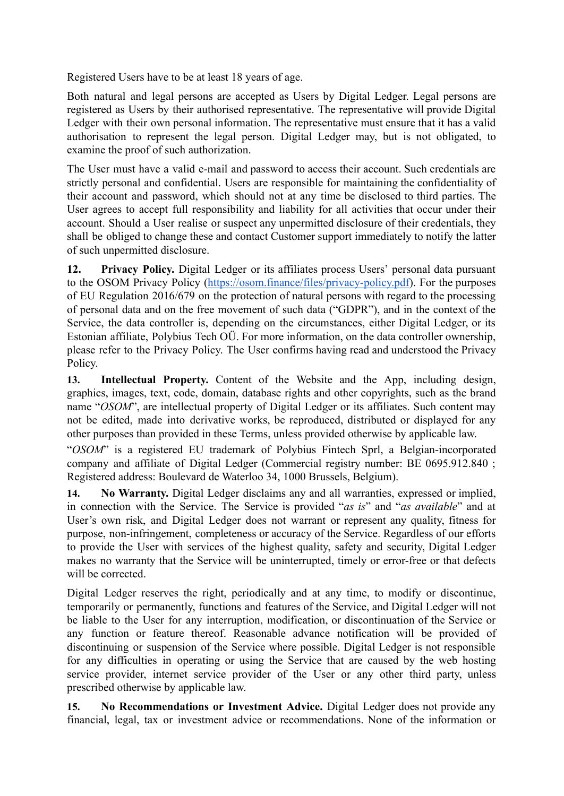Registered Users have to be at least 18 years of age.

Both natural and legal persons are accepted as Users by Digital Ledger. Legal persons are registered as Users by their authorised representative. The representative will provide Digital Ledger with their own personal information. The representative must ensure that it has a valid authorisation to represent the legal person. Digital Ledger may, but is not obligated, to examine the proof of such authorization.

The User must have a valid e-mail and password to access their account. Such credentials are strictly personal and confidential. Users are responsible for maintaining the confidentiality of their account and password, which should not at any time be disclosed to third parties. The User agrees to accept full responsibility and liability for all activities that occur under their account. Should a User realise or suspect any unpermitted disclosure of their credentials, they shall be obliged to change these and contact Customer support immediately to notify the latter of such unpermitted disclosure.

**12. Privacy Policy.** Digital Ledger or its affiliates process Users' personal data pursuant to the OSOM Privacy Policy ([https://osom.finance/files/privacy-policy.pdf\)](https://osom.finance/files/privacy-policy.pdf). For the purposes of EU Regulation 2016/679 on the protection of natural persons with regard to the processing of personal data and on the free movement of such data ("GDPR"), and in the context of the Service, the data controller is, depending on the circumstances, either Digital Ledger, or its Estonian affiliate, Polybius Tech OÜ. For more information, on the data controller ownership, please refer to the Privacy Policy. The User confirms having read and understood the Privacy Policy.

**13. Intellectual Property.** Content of the Website and the App, including design, graphics, images, text, code, domain, database rights and other copyrights, such as the brand name "*OSOM*", are intellectual property of Digital Ledger or its affiliates. Such content may not be edited, made into derivative works, be reproduced, distributed or displayed for any other purposes than provided in these Terms, unless provided otherwise by applicable law.

"*OSOM*" is a registered EU trademark of Polybius Fintech Sprl, a Belgian-incorporated company and affiliate of Digital Ledger (Commercial registry number: BE 0695.912.840 ; Registered address: Boulevard de Waterloo 34, 1000 Brussels, Belgium).

**14. No Warranty.** Digital Ledger disclaims any and all warranties, expressed or implied, in connection with the Service. The Service is provided "*as is*" and "*as available*" and at User's own risk, and Digital Ledger does not warrant or represent any quality, fitness for purpose, non-infringement, completeness or accuracy of the Service. Regardless of our efforts to provide the User with services of the highest quality, safety and security, Digital Ledger makes no warranty that the Service will be uninterrupted, timely or error-free or that defects will be corrected.

Digital Ledger reserves the right, periodically and at any time, to modify or discontinue, temporarily or permanently, functions and features of the Service, and Digital Ledger will not be liable to the User for any interruption, modification, or discontinuation of the Service or any function or feature thereof. Reasonable advance notification will be provided of discontinuing or suspension of the Service where possible. Digital Ledger is not responsible for any difficulties in operating or using the Service that are caused by the web hosting service provider, internet service provider of the User or any other third party, unless prescribed otherwise by applicable law.

**15. No Recommendations or Investment Advice.** Digital Ledger does not provide any financial, legal, tax or investment advice or recommendations. None of the information or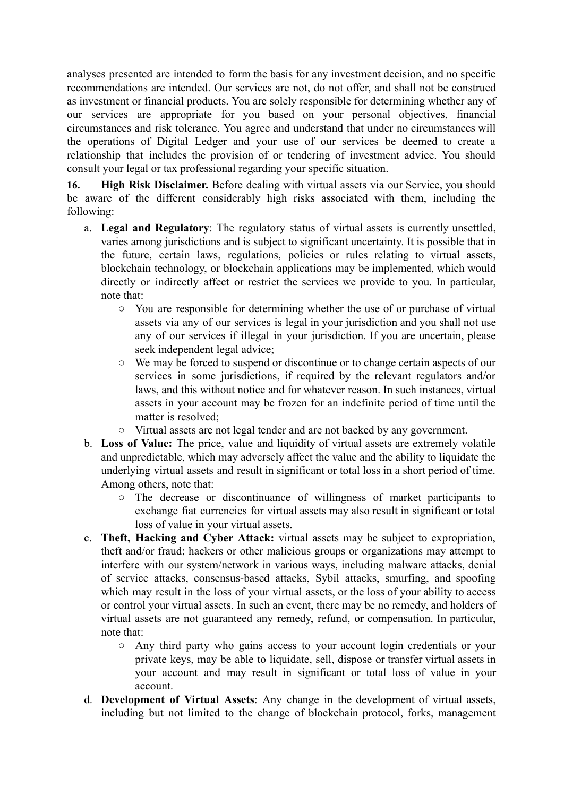analyses presented are intended to form the basis for any investment decision, and no specific recommendations are intended. Our services are not, do not offer, and shall not be construed as investment or financial products. You are solely responsible for determining whether any of our services are appropriate for you based on your personal objectives, financial circumstances and risk tolerance. You agree and understand that under no circumstances will the operations of Digital Ledger and your use of our services be deemed to create a relationship that includes the provision of or tendering of investment advice. You should consult your legal or tax professional regarding your specific situation.

**16. High Risk Disclaimer.** Before dealing with virtual assets via our Service, you should be aware of the different considerably high risks associated with them, including the following:

- a. **Legal and Regulatory**: The regulatory status of virtual assets is currently unsettled, varies among jurisdictions and is subject to significant uncertainty. It is possible that in the future, certain laws, regulations, policies or rules relating to virtual assets, blockchain technology, or blockchain applications may be implemented, which would directly or indirectly affect or restrict the services we provide to you. In particular, note that:
	- You are responsible for determining whether the use of or purchase of virtual assets via any of our services is legal in your jurisdiction and you shall not use any of our services if illegal in your jurisdiction. If you are uncertain, please seek independent legal advice;
	- We may be forced to suspend or discontinue or to change certain aspects of our services in some jurisdictions, if required by the relevant regulators and/or laws, and this without notice and for whatever reason. In such instances, virtual assets in your account may be frozen for an indefinite period of time until the matter is resolved;
	- Virtual assets are not legal tender and are not backed by any government.
- b. **Loss of Value:** The price, value and liquidity of virtual assets are extremely volatile and unpredictable, which may adversely affect the value and the ability to liquidate the underlying virtual assets and result in significant or total loss in a short period of time. Among others, note that:
	- The decrease or discontinuance of willingness of market participants to exchange fiat currencies for virtual assets may also result in significant or total loss of value in your virtual assets.
- c. **Theft, Hacking and Cyber Attack:** virtual assets may be subject to expropriation, theft and/or fraud; hackers or other malicious groups or organizations may attempt to interfere with our system/network in various ways, including malware attacks, denial of service attacks, consensus-based attacks, Sybil attacks, smurfing, and spoofing which may result in the loss of your virtual assets, or the loss of your ability to access or control your virtual assets. In such an event, there may be no remedy, and holders of virtual assets are not guaranteed any remedy, refund, or compensation. In particular, note that:
	- Any third party who gains access to your account login credentials or your private keys, may be able to liquidate, sell, dispose or transfer virtual assets in your account and may result in significant or total loss of value in your account.
- d. **Development of Virtual Assets**: Any change in the development of virtual assets, including but not limited to the change of blockchain protocol, forks, management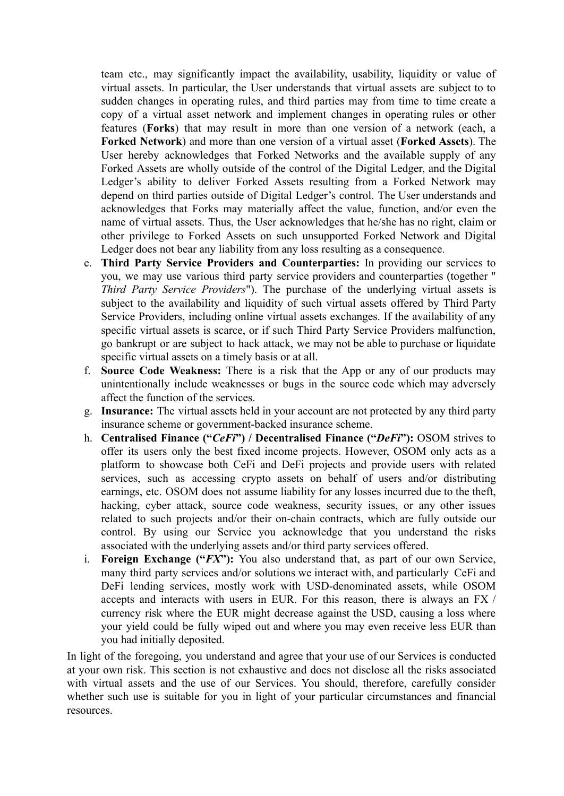team etc., may significantly impact the availability, usability, liquidity or value of virtual assets. In particular, the User understands that virtual assets are subject to to sudden changes in operating rules, and third parties may from time to time create a copy of a virtual asset network and implement changes in operating rules or other features (**Forks**) that may result in more than one version of a network (each, a **Forked Network**) and more than one version of a virtual asset (**Forked Assets**). The User hereby acknowledges that Forked Networks and the available supply of any Forked Assets are wholly outside of the control of the Digital Ledger, and the Digital Ledger's ability to deliver Forked Assets resulting from a Forked Network may depend on third parties outside of Digital Ledger's control. The User understands and acknowledges that Forks may materially affect the value, function, and/or even the name of virtual assets. Thus, the User acknowledges that he/she has no right, claim or other privilege to Forked Assets on such unsupported Forked Network and Digital Ledger does not bear any liability from any loss resulting as a consequence.

- e. **Third Party Service Providers and Counterparties:** In providing our services to you, we may use various third party service providers and counterparties (together " *Third Party Service Providers*"). The purchase of the underlying virtual assets is subject to the availability and liquidity of such virtual assets offered by Third Party Service Providers, including online virtual assets exchanges. If the availability of any specific virtual assets is scarce, or if such Third Party Service Providers malfunction, go bankrupt or are subject to hack attack, we may not be able to purchase or liquidate specific virtual assets on a timely basis or at all.
- f. **Source Code Weakness:** There is a risk that the App or any of our products may unintentionally include weaknesses or bugs in the source code which may adversely affect the function of the services.
- g. **Insurance:** The virtual assets held in your account are not protected by any third party insurance scheme or government-backed insurance scheme.
- h. **Centralised Finance ("***CeFi***") / Decentralised Finance ("***DeFi***"):** OSOM strives to offer its users only the best fixed income projects. However, OSOM only acts as a platform to showcase both CeFi and DeFi projects and provide users with related services, such as accessing crypto assets on behalf of users and/or distributing earnings, etc. OSOM does not assume liability for any losses incurred due to the theft, hacking, cyber attack, source code weakness, security issues, or any other issues related to such projects and/or their on-chain contracts, which are fully outside our control. By using our Service you acknowledge that you understand the risks associated with the underlying assets and/or third party services offered.
- i. **Foreign Exchange ("***FX***"):** You also understand that, as part of our own Service, many third party services and/or solutions we interact with, and particularly CeFi and DeFi lending services, mostly work with USD-denominated assets, while OSOM accepts and interacts with users in EUR. For this reason, there is always an FX / currency risk where the EUR might decrease against the USD, causing a loss where your yield could be fully wiped out and where you may even receive less EUR than you had initially deposited.

In light of the foregoing, you understand and agree that your use of our Services is conducted at your own risk. This section is not exhaustive and does not disclose all the risks associated with virtual assets and the use of our Services. You should, therefore, carefully consider whether such use is suitable for you in light of your particular circumstances and financial resources.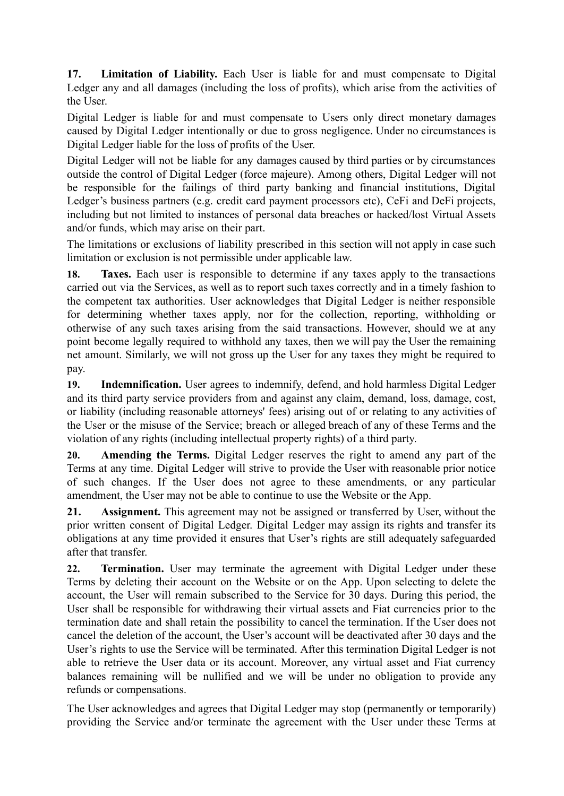**17. Limitation of Liability.** Each User is liable for and must compensate to Digital Ledger any and all damages (including the loss of profits), which arise from the activities of the User.

Digital Ledger is liable for and must compensate to Users only direct monetary damages caused by Digital Ledger intentionally or due to gross negligence. Under no circumstances is Digital Ledger liable for the loss of profits of the User.

Digital Ledger will not be liable for any damages caused by third parties or by circumstances outside the control of Digital Ledger (force majeure). Among others, Digital Ledger will not be responsible for the failings of third party banking and financial institutions, Digital Ledger's business partners (e.g. credit card payment processors etc), CeFi and DeFi projects, including but not limited to instances of personal data breaches or hacked/lost Virtual Assets and/or funds, which may arise on their part.

The limitations or exclusions of liability prescribed in this section will not apply in case such limitation or exclusion is not permissible under applicable law.

**18. Taxes.** Each user is responsible to determine if any taxes apply to the transactions carried out via the Services, as well as to report such taxes correctly and in a timely fashion to the competent tax authorities. User acknowledges that Digital Ledger is neither responsible for determining whether taxes apply, nor for the collection, reporting, withholding or otherwise of any such taxes arising from the said transactions. However, should we at any point become legally required to withhold any taxes, then we will pay the User the remaining net amount. Similarly, we will not gross up the User for any taxes they might be required to pay.

**19. Indemnification.** User agrees to indemnify, defend, and hold harmless Digital Ledger and its third party service providers from and against any claim, demand, loss, damage, cost, or liability (including reasonable attorneys' fees) arising out of or relating to any activities of the User or the misuse of the Service; breach or alleged breach of any of these Terms and the violation of any rights (including intellectual property rights) of a third party.

**20. Amending the Terms.** Digital Ledger reserves the right to amend any part of the Terms at any time. Digital Ledger will strive to provide the User with reasonable prior notice of such changes. If the User does not agree to these amendments, or any particular amendment, the User may not be able to continue to use the Website or the App.

**21. Assignment.** This agreement may not be assigned or transferred by User, without the prior written consent of Digital Ledger. Digital Ledger may assign its rights and transfer its obligations at any time provided it ensures that User's rights are still adequately safeguarded after that transfer.

**22. Termination.** User may terminate the agreement with Digital Ledger under these Terms by deleting their account on the Website or on the App. Upon selecting to delete the account, the User will remain subscribed to the Service for 30 days. During this period, the User shall be responsible for withdrawing their virtual assets and Fiat currencies prior to the termination date and shall retain the possibility to cancel the termination. If the User does not cancel the deletion of the account, the User's account will be deactivated after 30 days and the User's rights to use the Service will be terminated. After this termination Digital Ledger is not able to retrieve the User data or its account. Moreover, any virtual asset and Fiat currency balances remaining will be nullified and we will be under no obligation to provide any refunds or compensations.

The User acknowledges and agrees that Digital Ledger may stop (permanently or temporarily) providing the Service and/or terminate the agreement with the User under these Terms at